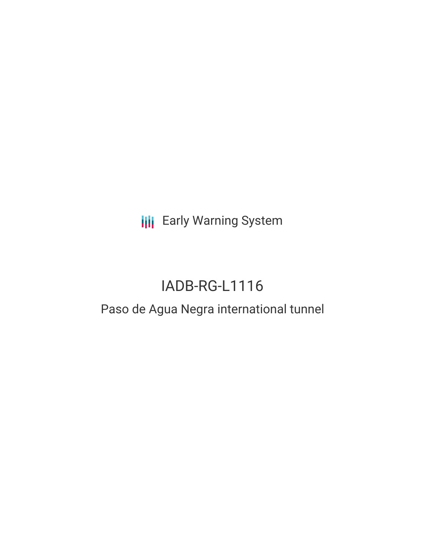**III** Early Warning System

# IADB-RG-L1116

## Paso de Agua Negra international tunnel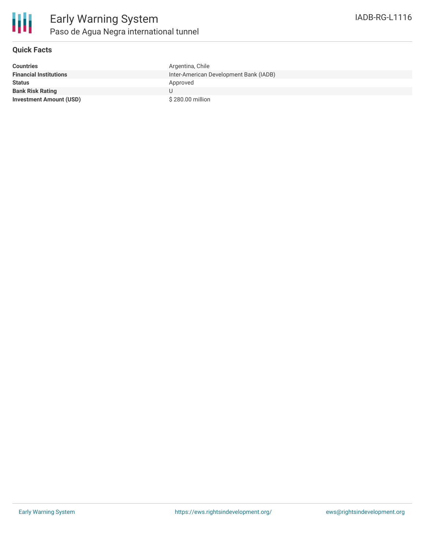

#### **Quick Facts**

| <b>Countries</b>               | Argentina, Chile                       |
|--------------------------------|----------------------------------------|
| <b>Financial Institutions</b>  | Inter-American Development Bank (IADB) |
| <b>Status</b>                  | Approved                               |
| <b>Bank Risk Rating</b>        |                                        |
| <b>Investment Amount (USD)</b> | \$280,00 million                       |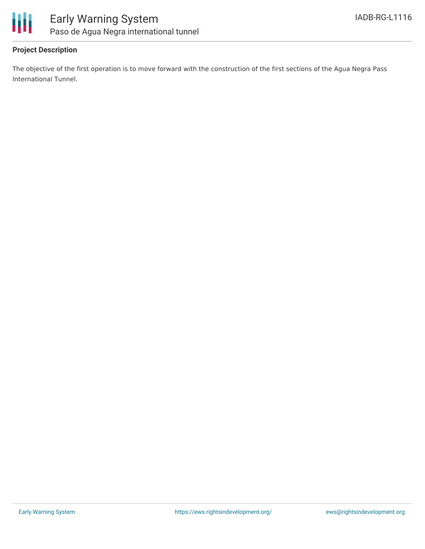

#### **Project Description**

The objective of the first operation is to move forward with the construction of the first sections of the Agua Negra Pass International Tunnel.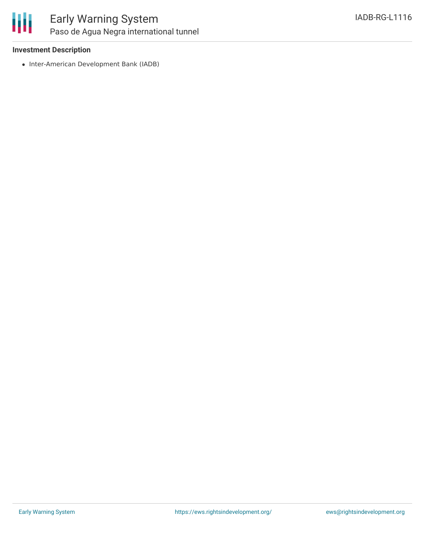

## Early Warning System Paso de Agua Negra international tunnel

#### **Investment Description**

• Inter-American Development Bank (IADB)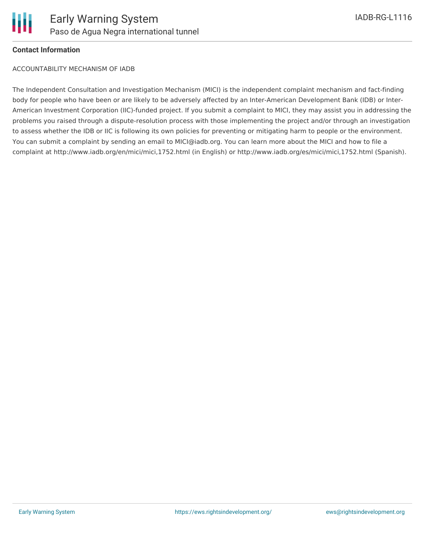

#### **Contact Information**

ACCOUNTABILITY MECHANISM OF IADB

The Independent Consultation and Investigation Mechanism (MICI) is the independent complaint mechanism and fact-finding body for people who have been or are likely to be adversely affected by an Inter-American Development Bank (IDB) or Inter-American Investment Corporation (IIC)-funded project. If you submit a complaint to MICI, they may assist you in addressing the problems you raised through a dispute-resolution process with those implementing the project and/or through an investigation to assess whether the IDB or IIC is following its own policies for preventing or mitigating harm to people or the environment. You can submit a complaint by sending an email to MICI@iadb.org. You can learn more about the MICI and how to file a complaint at http://www.iadb.org/en/mici/mici,1752.html (in English) or http://www.iadb.org/es/mici/mici,1752.html (Spanish).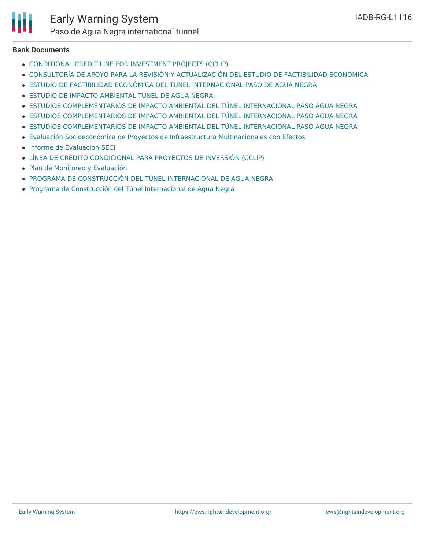

## Early Warning System

Paso de Agua Negra international tunnel

#### **Bank Documents**

- [CONDITIONAL](http://idbdocs.iadb.org/wsdocs/getdocument.aspx?docnum=EZSHARE-915975238-104) CREDIT LINE FOR INVESTMENT PROJECTS (CCLIP)
- CONSULTORÍA DE APOYO PARA LA REVISIÓN Y [ACTUALIZACIÓN](http://idbdocs.iadb.org/wsdocs/getdocument.aspx?docnum=EZSHARE-915975238-65) DEL ESTUDIO DE FACTIBILIDAD ECONÓMICA
- ESTUDIO DE FACTIBILIDAD ECONÓMICA DEL TUNEL [INTERNACIONAL](http://idbdocs.iadb.org/wsdocs/getdocument.aspx?docnum=EZSHARE-915975238-67) PASO DE AGUA NEGRA
- ESTUDIO DE IMPACTO [AMBIENTAL](http://idbdocs.iadb.org/wsdocs/getdocument.aspx?docnum=EZSHARE-61974806-2) TÚNEL DE AGUA NEGRA
- ESTUDIOS [COMPLEMENTARIOS](http://idbdocs.iadb.org/wsdocs/getdocument.aspx?docnum=EZSHARE-1683576236-21) DE IMPACTO AMBIENTAL DEL TÚNEL INTERNACIONAL PASO AGUA NEGRA
- ESTUDIOS [COMPLEMENTARIOS](http://idbdocs.iadb.org/wsdocs/getdocument.aspx?docnum=EZSHARE-1683576236-19) DE IMPACTO AMBIENTAL DEL TÚNEL INTERNACIONAL PASO AGUA NEGRA
- ESTUDIOS [COMPLEMENTARIOS](http://idbdocs.iadb.org/wsdocs/getdocument.aspx?docnum=EZSHARE-1683576236-6) DE IMPACTO AMBIENTAL DEL TÚNEL INTERNACIONAL PASO AGUA NEGRA
- Evaluación [Socioeconómica](http://idbdocs.iadb.org/wsdocs/getdocument.aspx?docnum=EZSHARE-915975238-64) de Proyectos de Infraestructura Multinacionales con Efectos
- Informe de [Evaluacion-SECI](https://ewsdata.rightsindevelopment.org/files/documents/16/IADB-RG-L1116_p6ZgRRq.pdf)
- LÍNEA DE CRÉDITO [CONDICIONAL](http://idbdocs.iadb.org/wsdocs/getdocument.aspx?docnum=EZSHARE-915975238-103) PARA PROYECTOS DE INVERSIÓN (CCLIP)
- Plan de Monitoreo y [Evaluación](https://ewsdata.rightsindevelopment.org/files/documents/16/IADB-RG-L1116.pdf)
- PROGRAMA DE CONSTRUCCIÓN DEL TÚNEL [INTERNACIONAL](http://idbdocs.iadb.org/wsdocs/getdocument.aspx?docnum=EZSHARE-915975238-55) DE AGUA NEGRA
- Programa de Construcción del Túnel [Internacional](http://idbdocs.iadb.org/wsdocs/getdocument.aspx?docnum=EZSHARE-915975238-57) de Agua Negra